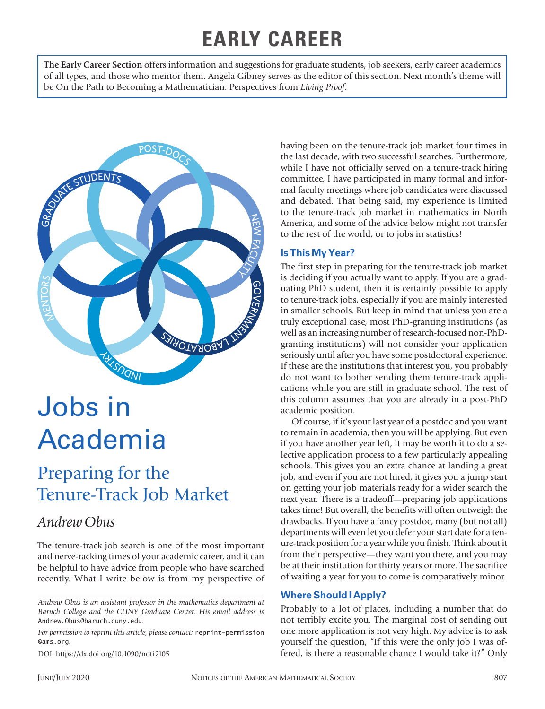## **EARLY CAREER**

**The Early Career Section** offers information and suggestions for graduate students, job seekers, early career academics of all types, and those who mentor them. Angela Gibney serves as the editor of this section. Next month's theme will be On the Path to Becoming a Mathematician: Perspectives from *Living Proof*.



# Jobs in Academia

## Preparing for the Tenure-Track Job Market

### *Andrew Obus*

The tenure-track job search is one of the most important and nerve-racking times of your academic career, and it can be helpful to have advice from people who have searched recently. What I write below is from my perspective of

*For permission to reprint this article, please contact:* reprint-permission @ams.org.

DOI: https://dx.doi.org/10.1090/noti2105

having been on the tenure-track job market four times in the last decade, with two successful searches. Furthermore, while I have not officially served on a tenure-track hiring committee, I have participated in many formal and informal faculty meetings where job candidates were discussed and debated. That being said, my experience is limited to the tenure-track job market in mathematics in North America, and some of the advice below might not transfer to the rest of the world, or to jobs in statistics!

#### **Is This My Year?**

The first step in preparing for the tenure-track job market is deciding if you actually want to apply. If you are a graduating PhD student, then it is certainly possible to apply to tenure-track jobs, especially if you are mainly interested in smaller schools. But keep in mind that unless you are a truly exceptional case, most PhD-granting institutions (as well as an increasing number of research-focused non-PhDgranting institutions) will not consider your application seriously until after you have some postdoctoral experience. If these are the institutions that interest you, you probably do not want to bother sending them tenure-track applications while you are still in graduate school. The rest of this column assumes that you are already in a post-PhD academic position.

Of course, if it's your last year of a postdoc and you want to remain in academia, then you will be applying. But even if you have another year left, it may be worth it to do a selective application process to a few particularly appealing schools. This gives you an extra chance at landing a great job, and even if you are not hired, it gives you a jump start on getting your job materials ready for a wider search the next year. There is a tradeoff—preparing job applications takes time! But overall, the benefits will often outweigh the drawbacks. If you have a fancy postdoc, many (but not all) departments will even let you defer your start date for a tenure-track position for a year while you finish. Think about it from their perspective—they want you there, and you may be at their institution for thirty years or more. The sacrifice of waiting a year for you to come is comparatively minor.

#### **Where Should I Apply?**

Probably to a lot of places, including a number that do not terribly excite you. The marginal cost of sending out one more application is not very high. My advice is to ask yourself the question, "If this were the only job I was offered, is there a reasonable chance I would take it?" Only

*Andrew Obus is an assistant professor in the mathematics department at Baruch College and the CUNY Graduate Center. His email address is*  Andrew.Obus@baruch.cuny.edu*.*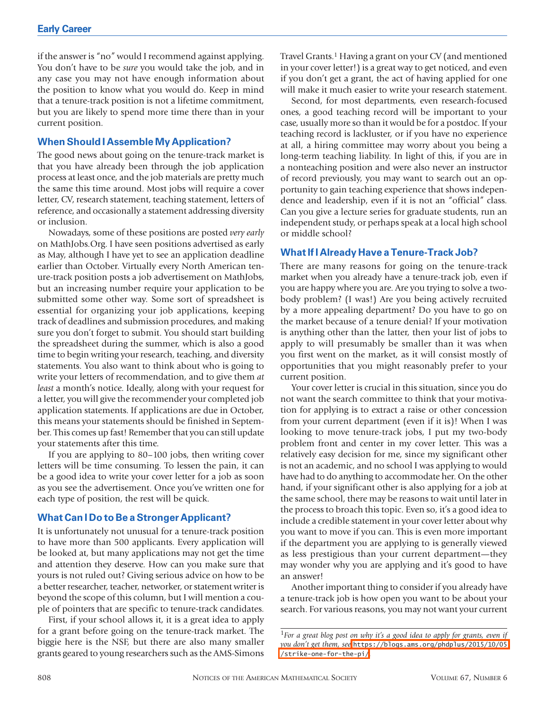if the answer is "no" would I recommend against applying. You don't have to be *sure* you would take the job, and in any case you may not have enough information about the position to know what you would do. Keep in mind that a tenure-track position is not a lifetime commitment, but you are likely to spend more time there than in your current position.

#### **When Should I Assemble My Application?**

The good news about going on the tenure-track market is that you have already been through the job application process at least once, and the job materials are pretty much the same this time around. Most jobs will require a cover letter, CV, research statement, teaching statement, letters of reference, and occasionally a statement addressing diversity or inclusion.

Nowadays, some of these positions are posted *very early* on MathJobs.Org. I have seen positions advertised as early as May, although I have yet to see an application deadline earlier than October. Virtually every North American tenure-track position posts a job advertisement on MathJobs, but an increasing number require your application to be submitted some other way. Some sort of spreadsheet is essential for organizing your job applications, keeping track of deadlines and submission procedures, and making sure you don't forget to submit. You should start building the spreadsheet during the summer, which is also a good time to begin writing your research, teaching, and diversity statements. You also want to think about who is going to write your letters of recommendation, and to give them *at least* a month's notice. Ideally, along with your request for a letter, you will give the recommender your completed job application statements. If applications are due in October, this means your statements should be finished in September. This comes up fast! Remember that you can still update your statements after this time.

If you are applying to 80–100 jobs, then writing cover letters will be time consuming. To lessen the pain, it can be a good idea to write your cover letter for a job as soon as you see the advertisement. Once you've written one for each type of position, the rest will be quick.

#### **What Can I Do to Be a Stronger Applicant?**

It is unfortunately not unusual for a tenure-track position to have more than 500 applicants. Every application will be looked at, but many applications may not get the time and attention they deserve. How can you make sure that yours is not ruled out? Giving serious advice on how to be a better researcher, teacher, networker, or statement writer is beyond the scope of this column, but I will mention a couple of pointers that are specific to tenure-track candidates.

First, if your school allows it, it is a great idea to apply for a grant before going on the tenure-track market. The biggie here is the NSF, but there are also many smaller grants geared to young researchers such as the AMS-Simons Travel Grants.1 Having a grant on your CV (and mentioned in your cover letter!) is a great way to get noticed, and even if you don't get a grant, the act of having applied for one will make it much easier to write your research statement.

Second, for most departments, even research-focused ones, a good teaching record will be important to your case, usually more so than it would be for a postdoc. If your teaching record is lackluster, or if you have no experience at all, a hiring committee may worry about you being a long-term teaching liability. In light of this, if you are in a nonteaching position and were also never an instructor of record previously, you may want to search out an opportunity to gain teaching experience that shows independence and leadership, even if it is not an "official" class. Can you give a lecture series for graduate students, run an independent study, or perhaps speak at a local high school or middle school?

#### **What If I Already Have a Tenure-Track Job?**

There are many reasons for going on the tenure-track market when you already have a tenure-track job, even if you are happy where you are. Are you trying to solve a twobody problem? (I was!) Are you being actively recruited by a more appealing department? Do you have to go on the market because of a tenure denial? If your motivation is anything other than the latter, then your list of jobs to apply to will presumably be smaller than it was when you first went on the market, as it will consist mostly of opportunities that you might reasonably prefer to your current position.

Your cover letter is crucial in this situation, since you do not want the search committee to think that your motivation for applying is to extract a raise or other concession from your current department (even if it is)! When I was looking to move tenure-track jobs, I put my two-body problem front and center in my cover letter. This was a relatively easy decision for me, since my significant other is not an academic, and no school I was applying to would have had to do anything to accommodate her. On the other hand, if your significant other is also applying for a job at the same school, there may be reasons to wait until later in the process to broach this topic. Even so, it's a good idea to include a credible statement in your cover letter about why you want to move if you can. This is even more important if the department you are applying to is generally viewed as less prestigious than your current department—they may wonder why you are applying and it's good to have an answer!

Another important thing to consider if you already have a tenure-track job is how open you want to be about your search. For various reasons, you may not want your current

<sup>&</sup>lt;sup>1</sup>For a great blog post on why it's a good idea to apply for grants, even if *you don't get them, see* [https://blogs.ams.org/phdplus/2015/10/05](https://blogs.ams.org/phdplus/2015/10/05/strike-one-for-the-pi/) [/strike-one-for-the-pi/](https://blogs.ams.org/phdplus/2015/10/05/strike-one-for-the-pi/)*.*